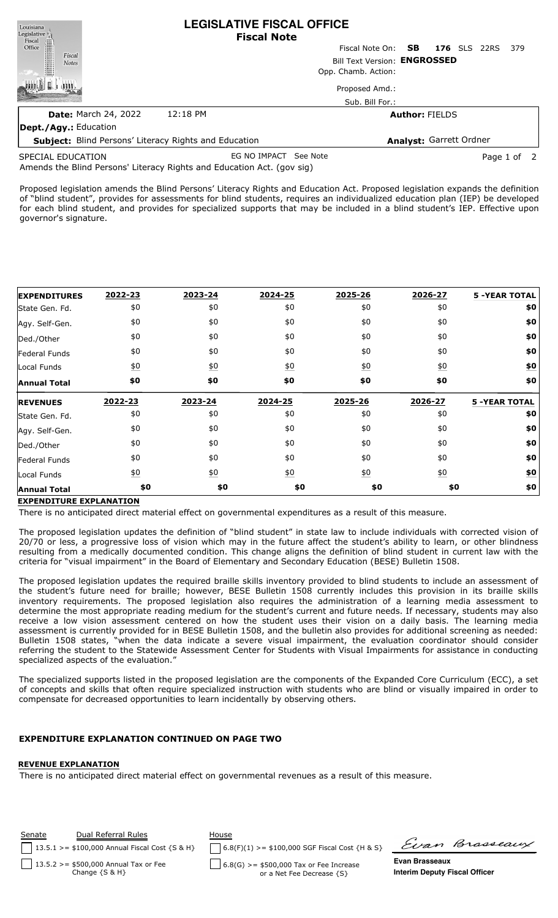| Louisiana<br>Legislative <sub>1</sub>                        | <b>LEGISLATIVE FISCAL OFFICE</b><br><b>Fiscal Note</b> |                 |                            |             |  |  |  |
|--------------------------------------------------------------|--------------------------------------------------------|-----------------|----------------------------|-------------|--|--|--|
| Fiscal<br>Office                                             |                                                        | Fiscal Note On: | <b>176</b> SLS 22RS<br>SB. | - 379       |  |  |  |
| Fiscal<br><b>Notes</b>                                       | Bill Text Version: ENGROSSED                           |                 |                            |             |  |  |  |
|                                                              | Opp. Chamb. Action:                                    |                 |                            |             |  |  |  |
|                                                              |                                                        | Proposed Amd.:  |                            |             |  |  |  |
|                                                              |                                                        | Sub. Bill For.: |                            |             |  |  |  |
| <b>Date: March 24, 2022</b>                                  | 12:18 PM                                               |                 | <b>Author: FIELDS</b>      |             |  |  |  |
| <b>Dept./Agy.: Education</b>                                 |                                                        |                 |                            |             |  |  |  |
| <b>Subject:</b> Blind Persons' Literacy Rights and Education |                                                        |                 | Analyst: Garrett Ordner    |             |  |  |  |
| SPECIAL EDUCATION                                            | EG NO IMPACT                                           | See Note        |                            | Page 1 of 2 |  |  |  |

Amends the Blind Persons' Literacy Rights and Education Act. (gov sig) SPECIAL EDUCATION

Proposed legislation amends the Blind Persons' Literacy Rights and Education Act. Proposed legislation expands the definition of "blind student", provides for assessments for blind students, requires an individualized education plan (IEP) be developed for each blind student, and provides for specialized supports that may be included in a blind student's IEP. Effective upon governor's signature.

| <b>EXPENDITURES</b> | 2022-23          | 2023-24          | 2024-25          | 2025-26          | 2026-27          | <b>5 -YEAR TOTAL</b> |
|---------------------|------------------|------------------|------------------|------------------|------------------|----------------------|
| State Gen. Fd.      | \$0              | \$0              | \$0              | \$0              | \$0              | \$0                  |
| Agy. Self-Gen.      | \$0              | \$0              | \$0              | \$0              | \$0              | \$0                  |
| Ded./Other          | \$0              | \$0              | \$0              | \$0              | \$0              | \$0                  |
| Federal Funds       | \$0              | \$0              | \$0              | \$0              | \$0              | \$0                  |
| Local Funds         | $\underline{50}$ | 60               | $\underline{50}$ | $\underline{50}$ | $\underline{50}$ | $\underline{\$0}$    |
| <b>Annual Total</b> | \$0              | \$0              | \$0              | \$0              | \$0              | \$0                  |
|                     |                  |                  |                  |                  |                  |                      |
| <b>REVENUES</b>     | 2022-23          | 2023-24          | 2024-25          | 2025-26          | 2026-27          | <b>5 -YEAR TOTAL</b> |
| State Gen. Fd.      | \$0              | \$0              | \$0              | \$0              | \$0              | \$0                  |
| Agy. Self-Gen.      | \$0              | \$0              | \$0              | \$0              | \$0              | \$0                  |
| Ded./Other          | \$0              | \$0              | \$0              | \$0              | \$0              | \$0                  |
| Federal Funds       | \$0              | \$0              | \$0              | \$0              | \$0              | \$0                  |
| Local Funds         | $\underline{50}$ | $\underline{50}$ | $\underline{50}$ | 60               | $\underline{50}$ | \$0                  |

## **EXPENDITURE EXPLANATION**

There is no anticipated direct material effect on governmental expenditures as a result of this measure.

The proposed legislation updates the definition of "blind student" in state law to include individuals with corrected vision of 20/70 or less, a progressive loss of vision which may in the future affect the student's ability to learn, or other blindness resulting from a medically documented condition. This change aligns the definition of blind student in current law with the criteria for "visual impairment" in the Board of Elementary and Secondary Education (BESE) Bulletin 1508.

The proposed legislation updates the required braille skills inventory provided to blind students to include an assessment of the student's future need for braille; however, BESE Bulletin 1508 currently includes this provision in its braille skills inventory requirements. The proposed legislation also requires the administration of a learning media assessment to determine the most appropriate reading medium for the student's current and future needs. If necessary, students may also receive a low vision assessment centered on how the student uses their vision on a daily basis. The learning media assessment is currently provided for in BESE Bulletin 1508, and the bulletin also provides for additional screening as needed: Bulletin 1508 states, "when the data indicate a severe visual impairment, the evaluation coordinator should consider referring the student to the Statewide Assessment Center for Students with Visual Impairments for assistance in conducting specialized aspects of the evaluation."

The specialized supports listed in the proposed legislation are the components of the Expanded Core Curriculum (ECC), a set of concepts and skills that often require specialized instruction with students who are blind or visually impaired in order to compensate for decreased opportunities to learn incidentally by observing others.

## **EXPENDITURE EXPLANATION CO**

#### **REVENUE EXPLANATION**

There is no anticipated direct material effect on governmental revenues as a result of this measure.